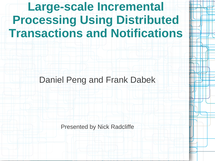# **Large-scale Incremental Processing Using Distributed Transactions and Notifications**

Daniel Peng and Frank Dabek

Presented by Nick Radcliffe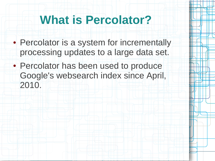### **What is Percolator?**

- Percolator is a system for incrementally processing updates to a large data set.
- Percolator has been used to produce Google's websearch index since April, 2010.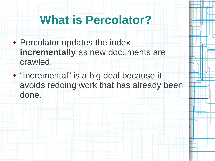### **What is Percolator?**

- Percolator updates the index **incrementally** as new documents are crawled.
- "Incremental" is a big deal because it avoids redoing work that has already been done.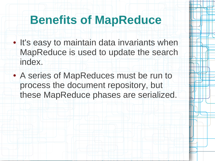### **Benefits of MapReduce**

- It's easy to maintain data invariants when MapReduce is used to update the search index.
- A series of MapReduces must be run to process the document repository, but these MapReduce phases are serialized.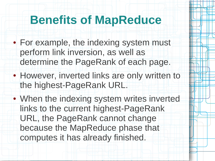### **Benefits of MapReduce**

- For example, the indexing system must perform link inversion, as well as determine the PageRank of each page.
- However, inverted links are only written to the highest-PageRank URL.
- When the indexing system writes inverted links to the current highest-PageRank URL, the PageRank cannot change because the MapReduce phase that computes it has already finished.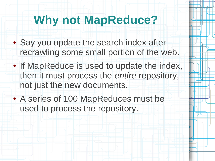## **Why not MapReduce?**

- Say you update the search index after recrawling some small portion of the web.
- If MapReduce is used to update the index, then it must process the *entire* repository, not just the new documents.
- A series of 100 MapReduces must be used to process the repository.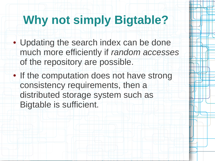## **Why not simply Bigtable?**

- Updating the search index can be done much more efficiently if *random accesses* of the repository are possible.
- If the computation does not have strong consistency requirements, then a distributed storage system such as Bigtable is sufficient.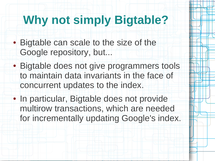# **Why not simply Bigtable?**

- Bigtable can scale to the size of the Google repository, but...
- Bigtable does not give programmers tools to maintain data invariants in the face of concurrent updates to the index.
- In particular, Bigtable does not provide multirow transactions, which are needed for incrementally updating Google's index.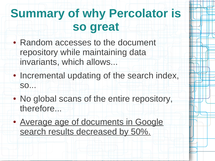# **Summary of why Percolator is so great**

- Random accesses to the document repository while maintaining data invariants, which allows...
- Incremental updating of the search index, so...
- No global scans of the entire repository, therefore...
- Average age of documents in Google search results decreased by 50%.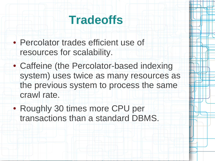### **Tradeoffs**

- Percolator trades efficient use of resources for scalability.
- Caffeine (the Percolator-based indexing system) uses twice as many resources as the previous system to process the same crawl rate.
- Roughly 30 times more CPU per transactions than a standard DBMS.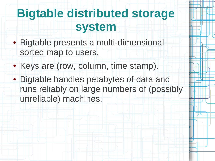- Bigtable presents a multi-dimensional sorted map to users.
- Keys are (row, column, time stamp).
- Bigtable handles petabytes of data and runs reliably on large numbers of (possibly unreliable) machines.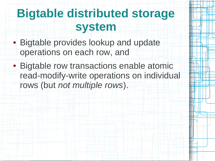- Bigtable provides lookup and update operations on each row, and
- Bigtable row transactions enable atomic read-modify-write operations on individual rows (but *not multiple rows*).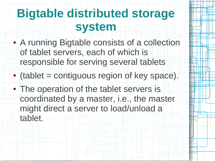- A running Bigtable consists of a collection of tablet servers, each of which is responsible for serving several tablets
- (tablet = contiguous region of key space).
- The operation of the tablet servers is coordinated by a master, i.e., the master might direct a server to load/unload a tablet.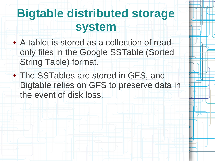- A tablet is stored as a collection of readonly files in the Google SSTable (Sorted String Table) format.
- The SSTables are stored in GFS, and Bigtable relies on GFS to preserve data in the event of disk loss.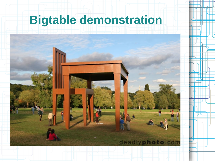# **Bigtable demonstration**

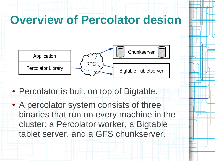### **Overview of Percolator design**



- Percolator is built on top of Bigtable.
- A percolator system consists of three binaries that run on every machine in the cluster: a Percolator worker, a Bigtable tablet server, and a GFS chunkserver.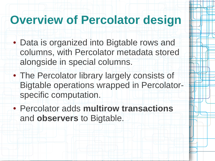### **Overview of Percolator design**

- Data is organized into Bigtable rows and columns, with Percolator metadata stored alongside in special columns.
- The Percolator library largely consists of Bigtable operations wrapped in Percolatorspecific computation.
- Percolator adds **multirow transactions** and **observers** to Bigtable.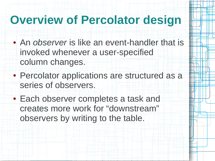#### **Overview of Percolator design**

- An *observer* is like an event-handler that is invoked whenever a user-specified column changes.
- Percolator applications are structured as a series of observers.
- Each observer completes a task and creates more work for "downstream" observers by writing to the table.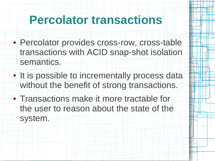#### **Percolator transactions**

- Percolator provides cross-row, cross-table transactions with ACID snap-shot isolation semantics.
- It is possible to incrementally process data without the benefit of strong transactions.
- Transactions make it more tractable for the user to reason about the state of the system.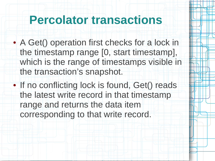#### **Percolator transactions**

- A Get() operation first checks for a lock in the timestamp range [0, start timestamp], which is the range of timestamps visible in the transaction's snapshot.
- If no conflicting lock is found, Get() reads the latest write record in that timestamp range and returns the data item corresponding to that write record.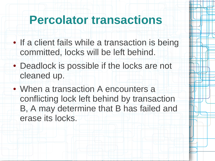### **Percolator transactions**

- If a client fails while a transaction is being committed, locks will be left behind.
- Deadlock is possible if the locks are not cleaned up.
- When a transaction A encounters a conflicting lock left behind by transaction B, A may determine that B has failed and erase its locks.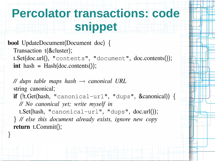## **Percolator transactions: code snippet**

**bool** UpdateDocument(Document doc) { Transaction t(&cluster); t.Set(doc.url(), "contents", "document", doc.contents());  $\int$  int hash = Hash(doc.contents());

// dups table maps hash  $\rightarrow$  canonical URL string canonical; **if** (!t. Get(hash, "canonical-url", "dups", & canonical)) { // No canonical yet; write myself in t. Set(hash, "canonical-url", "dups",  $doc.util$ ); } // else this document already exists, ignore new copy return  $t$ . Commit $(t)$ ;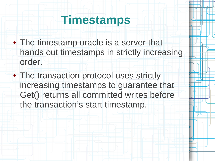#### **Timestamps**

- The timestamp oracle is a server that hands out timestamps in strictly increasing order.
- The transaction protocol uses strictly increasing timestamps to guarantee that Get() returns all committed writes before the transaction's start timestamp.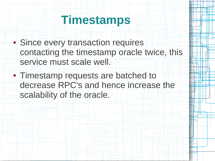#### **Timestamps**

- Since every transaction requires contacting the timestamp oracle twice, this service must scale well.
- Timestamp requests are batched to decrease RPC's and hence increase the scalability of the oracle.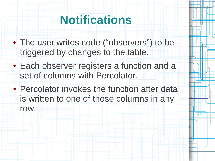- The user writes code ("observers") to be triggered by changes to the table.
- Each observer registers a function and a set of columns with Percolator.
- Percolator invokes the function after data is written to one of those columns in any row.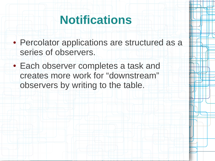- Percolator applications are structured as a series of observers.
- Each observer completes a task and creates more work for "downstream" observers by writing to the table.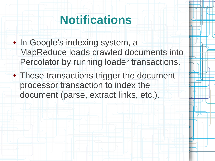- In Google's indexing system, a MapReduce loads crawled documents into Percolator by running loader transactions.
- These transactions trigger the document processor transaction to index the document (parse, extract links, etc.).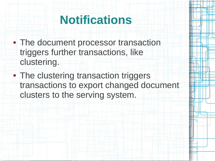- The document processor transaction triggers further transactions, like clustering.
- The clustering transaction triggers transactions to export changed document clusters to the serving system.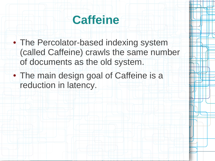

- The Percolator-based indexing system (called Caffeine) crawls the same number of documents as the old system.
- The main design goal of Caffeine is a reduction in latency.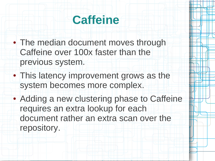

- The median document moves through Caffeine over 100x faster than the previous system.
- This latency improvement grows as the system becomes more complex.
- Adding a new clustering phase to Caffeine requires an extra lookup for each document rather an extra scan over the repository.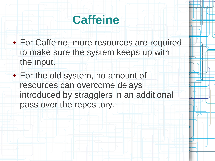

- For Caffeine, more resources are required to make sure the system keeps up with the input.
- For the old system, no amount of resources can overcome delays introduced by stragglers in an additional pass over the repository.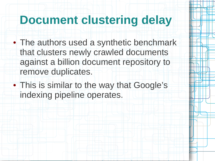- The authors used a synthetic benchmark that clusters newly crawled documents against a billion document repository to remove duplicates.
- This is similar to the way that Google's indexing pipeline operates.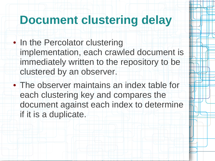- In the Percolator clustering implementation, each crawled document is immediately written to the repository to be clustered by an observer.
- The observer maintains an index table for each clustering key and compares the document against each index to determine if it is a duplicate.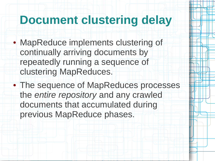- MapReduce implements clustering of continually arriving documents by repeatedly running a sequence of clustering MapReduces.
- The sequence of MapReduces processes the *entire repository* and any crawled documents that accumulated during previous MapReduce phases.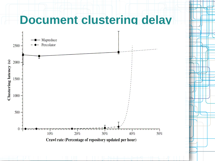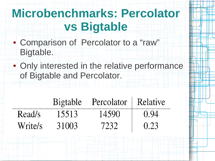# **Microbenchmarks: Percolator vs Bigtable**

- Comparison of Percolator to a "raw" Bigtable.
- Only interested in the relative performance of Bigtable and Percolator.

|         |       | Bigtable Percolator   Relative |      |
|---------|-------|--------------------------------|------|
| Read/s  | 15513 | 14590                          | 0.94 |
| Write/s | 31003 | 7232                           | 0.23 |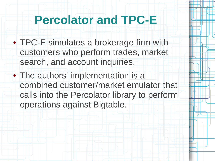- TPC-E simulates a brokerage firm with customers who perform trades, market search, and account inquiries.
- The authors' implementation is a combined customer/market emulator that calls into the Percolator library to perform operations against Bigtable.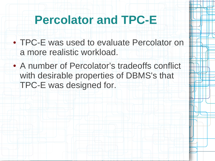- TPC-E was used to evaluate Percolator on a more realistic workload.
- A number of Percolator's tradeoffs conflict with desirable properties of DBMS's that TPC-E was designed for.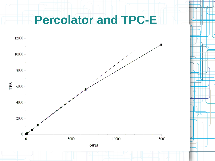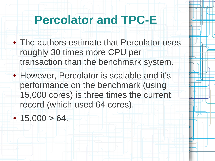- The authors estimate that Percolator uses roughly 30 times more CPU per transaction than the benchmark system.
- However, Percolator is scalable and it's performance on the benchmark (using 15,000 cores) is three times the current record (which used 64 cores).

 $\cdot$  15,000 > 64.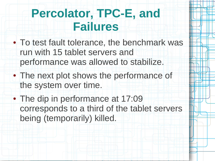# **Percolator, TPC-E, and Failures**

- To test fault tolerance, the benchmark was run with 15 tablet servers and performance was allowed to stabilize.
- The next plot shows the performance of the system over time.
- The dip in performance at 17:09 corresponds to a third of the tablet servers being (temporarily) killed.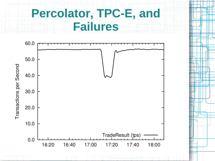## **Percolator, TPC-E, and Failures**